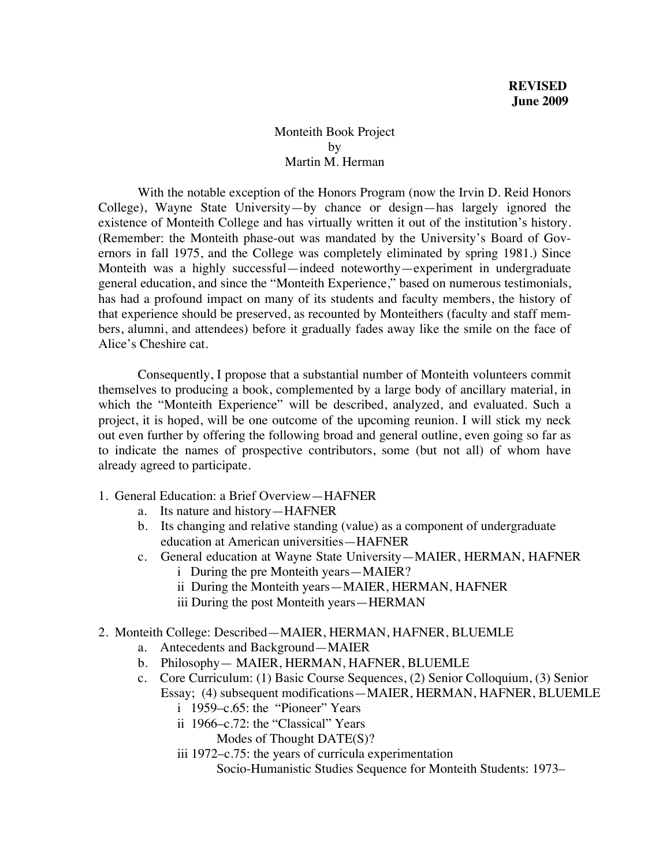## Monteith Book Project by Martin M. Herman

With the notable exception of the Honors Program (now the Irvin D. Reid Honors College), Wayne State University—by chance or design—has largely ignored the existence of Monteith College and has virtually written it out of the institution's history. (Remember: the Monteith phase-out was mandated by the University's Board of Governors in fall 1975, and the College was completely eliminated by spring 1981.) Since Monteith was a highly successful—indeed noteworthy—experiment in undergraduate general education, and since the "Monteith Experience," based on numerous testimonials, has had a profound impact on many of its students and faculty members, the history of that experience should be preserved, as recounted by Monteithers (faculty and staff members, alumni, and attendees) before it gradually fades away like the smile on the face of Alice's Cheshire cat.

Consequently, I propose that a substantial number of Monteith volunteers commit themselves to producing a book, complemented by a large body of ancillary material, in which the "Monteith Experience" will be described, analyzed, and evaluated. Such a project, it is hoped, will be one outcome of the upcoming reunion. I will stick my neck out even further by offering the following broad and general outline, even going so far as to indicate the names of prospective contributors, some (but not all) of whom have already agreed to participate.

- 1. General Education: a Brief Overview—HAFNER
	- a. Its nature and history—HAFNER
	- b. Its changing and relative standing (value) as a component of undergraduate education at American universities—HAFNER
	- c. General education at Wayne State University—MAIER, HERMAN, HAFNER
		- i During the pre Monteith years—MAIER?
			- ii During the Monteith years—MAIER, HERMAN, HAFNER
			- iii During the post Monteith years—HERMAN
- 2. Monteith College: Described—MAIER, HERMAN, HAFNER, BLUEMLE
	- a. Antecedents and Background—MAIER
	- b. Philosophy— MAIER, HERMAN, HAFNER, BLUEMLE
	- c. Core Curriculum: (1) Basic Course Sequences, (2) Senior Colloquium, (3) Senior Essay; (4) subsequent modifications—MAIER, HERMAN, HAFNER, BLUEMLE
		- i 1959–c.65: the "Pioneer" Years
		- ii 1966–c.72: the "Classical" Years
			- Modes of Thought DATE(S)?
		- iii 1972–c.75: the years of curricula experimentation
			- Socio-Humanistic Studies Sequence for Monteith Students: 1973–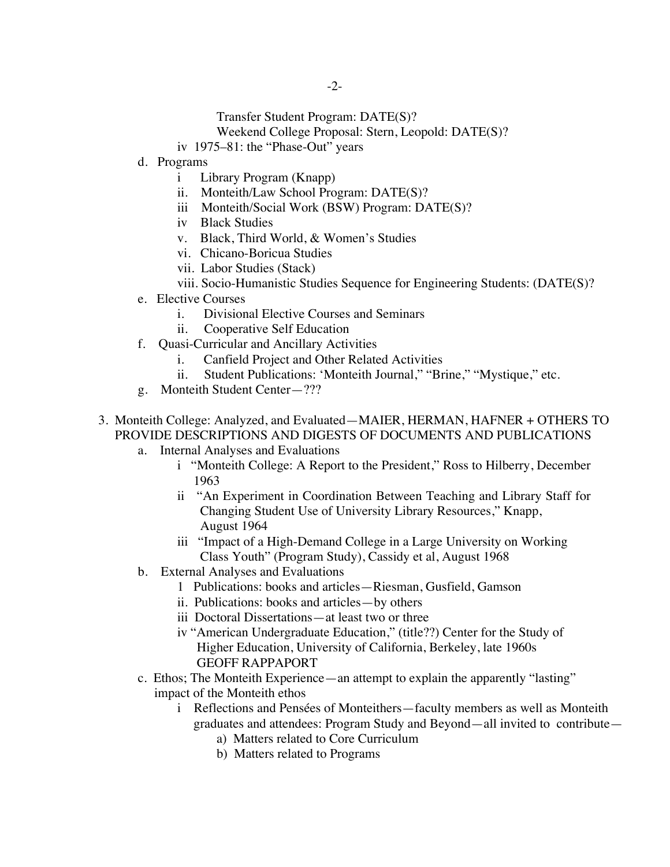- Transfer Student Program: DATE(S)?
- Weekend College Proposal: Stern, Leopold: DATE(S)?
- iv 1975–81: the "Phase-Out" years
- d. Programs
	- i Library Program (Knapp)
	- ii. Monteith/Law School Program: DATE(S)?
	- iii Monteith/Social Work (BSW) Program: DATE(S)?
	- iv Black Studies
	- v. Black, Third World, & Women's Studies
	- vi. Chicano-Boricua Studies
	- vii. Labor Studies (Stack)
	- viii. Socio-Humanistic Studies Sequence for Engineering Students: (DATE(S)?
- e. Elective Courses
	- i. Divisional Elective Courses and Seminars
	- ii. Cooperative Self Education
- f. Quasi-Curricular and Ancillary Activities
	- i. Canfield Project and Other Related Activities
	- ii. Student Publications: 'Monteith Journal," "Brine," "Mystique," etc.
- g. Monteith Student Center—???
- 3. Monteith College: Analyzed, and Evaluated—MAIER, HERMAN, HAFNER + OTHERS TO PROVIDE DESCRIPTIONS AND DIGESTS OF DOCUMENTS AND PUBLICATIONS
	- a. Internal Analyses and Evaluations
		- i "Monteith College: A Report to the President," Ross to Hilberry, December 1963
		- ii "An Experiment in Coordination Between Teaching and Library Staff for Changing Student Use of University Library Resources," Knapp, August 1964
		- iii "Impact of a High-Demand College in a Large University on Working Class Youth" (Program Study), Cassidy et al, August 1968
	- b. External Analyses and Evaluations
		- 1 Publications: books and articles—Riesman, Gusfield, Gamson
		- ii. Publications: books and articles—by others
		- iii Doctoral Dissertations—at least two or three
		- iv "American Undergraduate Education," (title??) Center for the Study of Higher Education, University of California, Berkeley, late 1960s GEOFF RAPPAPORT
	- c. Ethos; The Monteith Experience—an attempt to explain the apparently "lasting" impact of the Monteith ethos
		- i Reflections and Pensées of Monteithers—faculty members as well as Monteith graduates and attendees: Program Study and Beyond—all invited to contribute
			- a) Matters related to Core Curriculum
			- b) Matters related to Programs